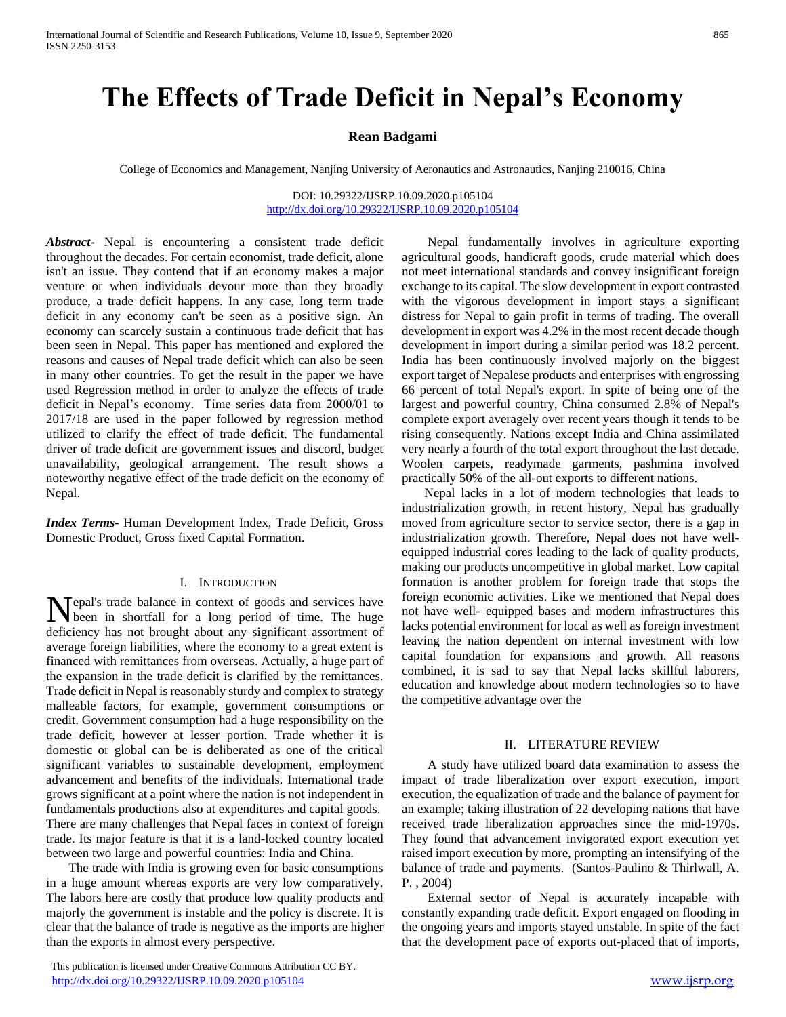# **The Effects of Trade Deficit in Nepal's Economy**

# **Rean Badgami**

College of Economics and Management, Nanjing University of Aeronautics and Astronautics, Nanjing 210016, China

# DOI: 10.29322/IJSRP.10.09.2020.p105104 <http://dx.doi.org/10.29322/IJSRP.10.09.2020.p105104>

*Abstract***-** Nepal is encountering a consistent trade deficit throughout the decades. For certain economist, trade deficit, alone isn't an issue. They contend that if an economy makes a major venture or when individuals devour more than they broadly produce, a trade deficit happens. In any case, long term trade deficit in any economy can't be seen as a positive sign. An economy can scarcely sustain a continuous trade deficit that has been seen in Nepal. This paper has mentioned and explored the reasons and causes of Nepal trade deficit which can also be seen in many other countries. To get the result in the paper we have used Regression method in order to analyze the effects of trade deficit in Nepal's economy. Time series data from 2000/01 to 2017/18 are used in the paper followed by regression method utilized to clarify the effect of trade deficit. The fundamental driver of trade deficit are government issues and discord, budget unavailability, geological arrangement. The result shows a noteworthy negative effect of the trade deficit on the economy of Nepal.

*Index Terms*- Human Development Index, Trade Deficit, Gross Domestic Product, Gross fixed Capital Formation.

## I. INTRODUCTION

epal's trade balance in context of goods and services have Nepal's trade balance in context of goods and services have<br>been in shortfall for a long period of time. The huge deficiency has not brought about any significant assortment of average foreign liabilities, where the economy to a great extent is financed with remittances from overseas. Actually, a huge part of the expansion in the trade deficit is clarified by the remittances. Trade deficit in Nepal is reasonably sturdy and complex to strategy malleable factors, for example, government consumptions or credit. Government consumption had a huge responsibility on the trade deficit, however at lesser portion. Trade whether it is domestic or global can be is deliberated as one of the critical significant variables to sustainable development, employment advancement and benefits of the individuals. International trade grows significant at a point where the nation is not independent in fundamentals productions also at expenditures and capital goods. There are many challenges that Nepal faces in context of foreign trade. Its major feature is that it is a land-locked country located between two large and powerful countries: India and China.

 The trade with India is growing even for basic consumptions in a huge amount whereas exports are very low comparatively. The labors here are costly that produce low quality products and majorly the government is instable and the policy is discrete. It is clear that the balance of trade is negative as the imports are higher than the exports in almost every perspective.

 This publication is licensed under Creative Commons Attribution CC BY. <http://dx.doi.org/10.29322/IJSRP.10.09.2020.p105104> [www.ijsrp.org](http://ijsrp.org/)

 Nepal fundamentally involves in agriculture exporting agricultural goods, handicraft goods, crude material which does not meet international standards and convey insignificant foreign exchange to its capital. The slow development in export contrasted with the vigorous development in import stays a significant distress for Nepal to gain profit in terms of trading. The overall development in export was 4.2% in the most recent decade though development in import during a similar period was 18.2 percent. India has been continuously involved majorly on the biggest export target of Nepalese products and enterprises with engrossing 66 percent of total Nepal's export. In spite of being one of the largest and powerful country, China consumed 2.8% of Nepal's complete export averagely over recent years though it tends to be rising consequently. Nations except India and China assimilated very nearly a fourth of the total export throughout the last decade. Woolen carpets, readymade garments, pashmina involved practically 50% of the all-out exports to different nations.

 Nepal lacks in a lot of modern technologies that leads to industrialization growth, in recent history, Nepal has gradually moved from agriculture sector to service sector, there is a gap in industrialization growth. Therefore, Nepal does not have wellequipped industrial cores leading to the lack of quality products, making our products uncompetitive in global market. Low capital formation is another problem for foreign trade that stops the foreign economic activities. Like we mentioned that Nepal does not have well- equipped bases and modern infrastructures this lacks potential environment for local as well as foreign investment leaving the nation dependent on internal investment with low capital foundation for expansions and growth. All reasons combined, it is sad to say that Nepal lacks skillful laborers, education and knowledge about modern technologies so to have the competitive advantage over the

### II. LITERATURE REVIEW

 A study have utilized board data examination to assess the impact of trade liberalization over export execution, import execution, the equalization of trade and the balance of payment for an example; taking illustration of 22 developing nations that have received trade liberalization approaches since the mid-1970s. They found that advancement invigorated export execution yet raised import execution by more, prompting an intensifying of the balance of trade and payments. (Santos-Paulino & Thirlwall, A. P. , 2004)

 External sector of Nepal is accurately incapable with constantly expanding trade deficit. Export engaged on flooding in the ongoing years and imports stayed unstable. In spite of the fact that the development pace of exports out-placed that of imports,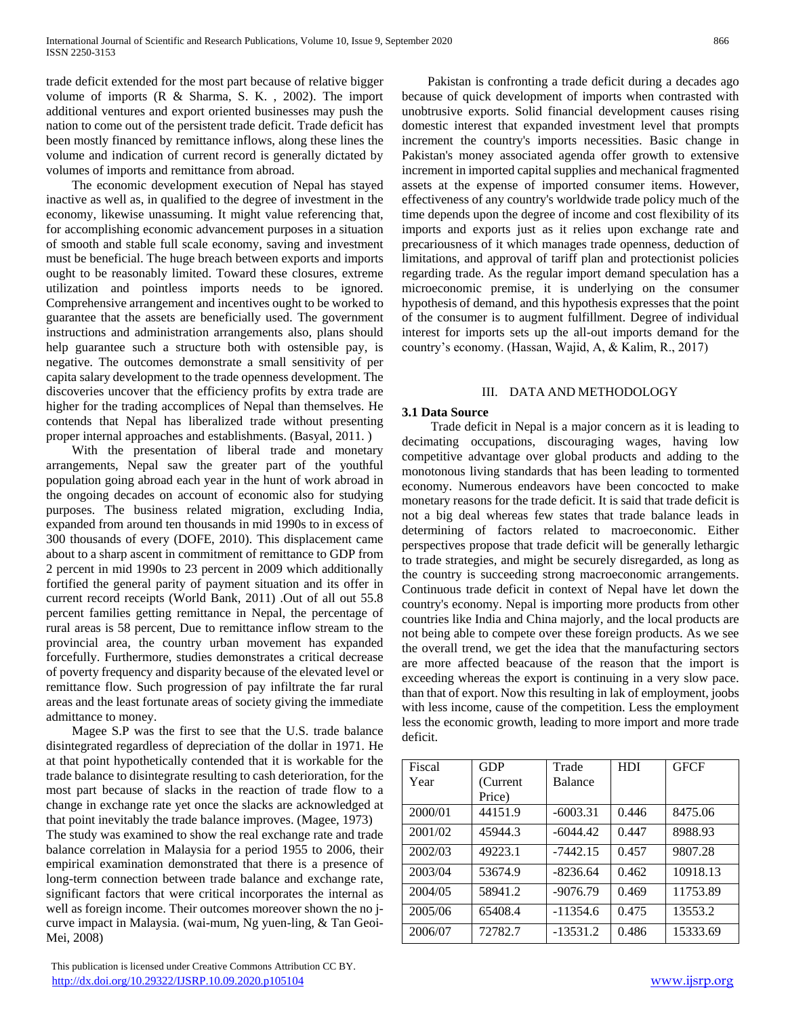trade deficit extended for the most part because of relative bigger volume of imports (R & Sharma, S. K. , 2002). The import additional ventures and export oriented businesses may push the nation to come out of the persistent trade deficit. Trade deficit has been mostly financed by remittance inflows, along these lines the volume and indication of current record is generally dictated by volumes of imports and remittance from abroad.

 The economic development execution of Nepal has stayed inactive as well as, in qualified to the degree of investment in the economy, likewise unassuming. It might value referencing that, for accomplishing economic advancement purposes in a situation of smooth and stable full scale economy, saving and investment must be beneficial. The huge breach between exports and imports ought to be reasonably limited. Toward these closures, extreme utilization and pointless imports needs to be ignored. Comprehensive arrangement and incentives ought to be worked to guarantee that the assets are beneficially used. The government instructions and administration arrangements also, plans should help guarantee such a structure both with ostensible pay, is negative. The outcomes demonstrate a small sensitivity of per capita salary development to the trade openness development. The discoveries uncover that the efficiency profits by extra trade are higher for the trading accomplices of Nepal than themselves. He contends that Nepal has liberalized trade without presenting proper internal approaches and establishments. (Basyal, 2011. )

 With the presentation of liberal trade and monetary arrangements, Nepal saw the greater part of the youthful population going abroad each year in the hunt of work abroad in the ongoing decades on account of economic also for studying purposes. The business related migration, excluding India, expanded from around ten thousands in mid 1990s to in excess of 300 thousands of every (DOFE, 2010). This displacement came about to a sharp ascent in commitment of remittance to GDP from 2 percent in mid 1990s to 23 percent in 2009 which additionally fortified the general parity of payment situation and its offer in current record receipts (World Bank, 2011) .Out of all out 55.8 percent families getting remittance in Nepal, the percentage of rural areas is 58 percent, Due to remittance inflow stream to the provincial area, the country urban movement has expanded forcefully. Furthermore, studies demonstrates a critical decrease of poverty frequency and disparity because of the elevated level or remittance flow. Such progression of pay infiltrate the far rural areas and the least fortunate areas of society giving the immediate admittance to money.

 Magee S.P was the first to see that the U.S. trade balance disintegrated regardless of depreciation of the dollar in 1971. He at that point hypothetically contended that it is workable for the trade balance to disintegrate resulting to cash deterioration, for the most part because of slacks in the reaction of trade flow to a change in exchange rate yet once the slacks are acknowledged at that point inevitably the trade balance improves. (Magee, 1973) The study was examined to show the real exchange rate and trade balance correlation in Malaysia for a period 1955 to 2006, their empirical examination demonstrated that there is a presence of long-term connection between trade balance and exchange rate, significant factors that were critical incorporates the internal as well as foreign income. Their outcomes moreover shown the no jcurve impact in Malaysia. (wai-mum, Ng yuen-ling, & Tan Geoi-Mei, 2008)

 This publication is licensed under Creative Commons Attribution CC BY. <http://dx.doi.org/10.29322/IJSRP.10.09.2020.p105104> [www.ijsrp.org](http://ijsrp.org/)

 Pakistan is confronting a trade deficit during a decades ago because of quick development of imports when contrasted with unobtrusive exports. Solid financial development causes rising domestic interest that expanded investment level that prompts increment the country's imports necessities. Basic change in Pakistan's money associated agenda offer growth to extensive increment in imported capital supplies and mechanical fragmented assets at the expense of imported consumer items. However, effectiveness of any country's worldwide trade policy much of the time depends upon the degree of income and cost flexibility of its imports and exports just as it relies upon exchange rate and precariousness of it which manages trade openness, deduction of limitations, and approval of tariff plan and protectionist policies regarding trade. As the regular import demand speculation has a microeconomic premise, it is underlying on the consumer hypothesis of demand, and this hypothesis expresses that the point of the consumer is to augment fulfillment. Degree of individual interest for imports sets up the all-out imports demand for the country's economy. (Hassan, Wajid, A, & Kalim, R., 2017)

# III. DATA AND METHODOLOGY

# **3.1 Data Source**

 Trade deficit in Nepal is a major concern as it is leading to decimating occupations, discouraging wages, having low competitive advantage over global products and adding to the monotonous living standards that has been leading to tormented economy. Numerous endeavors have been concocted to make monetary reasons for the trade deficit. It is said that trade deficit is not a big deal whereas few states that trade balance leads in determining of factors related to macroeconomic. Either perspectives propose that trade deficit will be generally lethargic to trade strategies, and might be securely disregarded, as long as the country is succeeding strong macroeconomic arrangements. Continuous trade deficit in context of Nepal have let down the country's economy. Nepal is importing more products from other countries like India and China majorly, and the local products are not being able to compete over these foreign products. As we see the overall trend, we get the idea that the manufacturing sectors are more affected beacause of the reason that the import is exceeding whereas the export is continuing in a very slow pace. than that of export. Now this resulting in lak of employment, joobs with less income, cause of the competition. Less the employment less the economic growth, leading to more import and more trade deficit.

| Fiscal  | GDP       | Trade          | <b>HDI</b> | <b>GFCF</b> |
|---------|-----------|----------------|------------|-------------|
| Year    | (Current) | <b>Balance</b> |            |             |
|         | Price)    |                |            |             |
| 2000/01 | 44151.9   | $-6003.31$     | 0.446      | 8475.06     |
| 2001/02 | 45944.3   | $-6044.42$     | 0.447      | 8988.93     |
| 2002/03 | 49223.1   | $-7442.15$     | 0.457      | 9807.28     |
| 2003/04 | 53674.9   | -8236.64       | 0.462      | 10918.13    |
| 2004/05 | 58941.2   | $-9076.79$     | 0.469      | 11753.89    |
| 2005/06 | 65408.4   | $-11354.6$     | 0.475      | 13553.2     |
| 2006/07 | 72782.7   | $-13531.2$     | 0.486      | 15333.69    |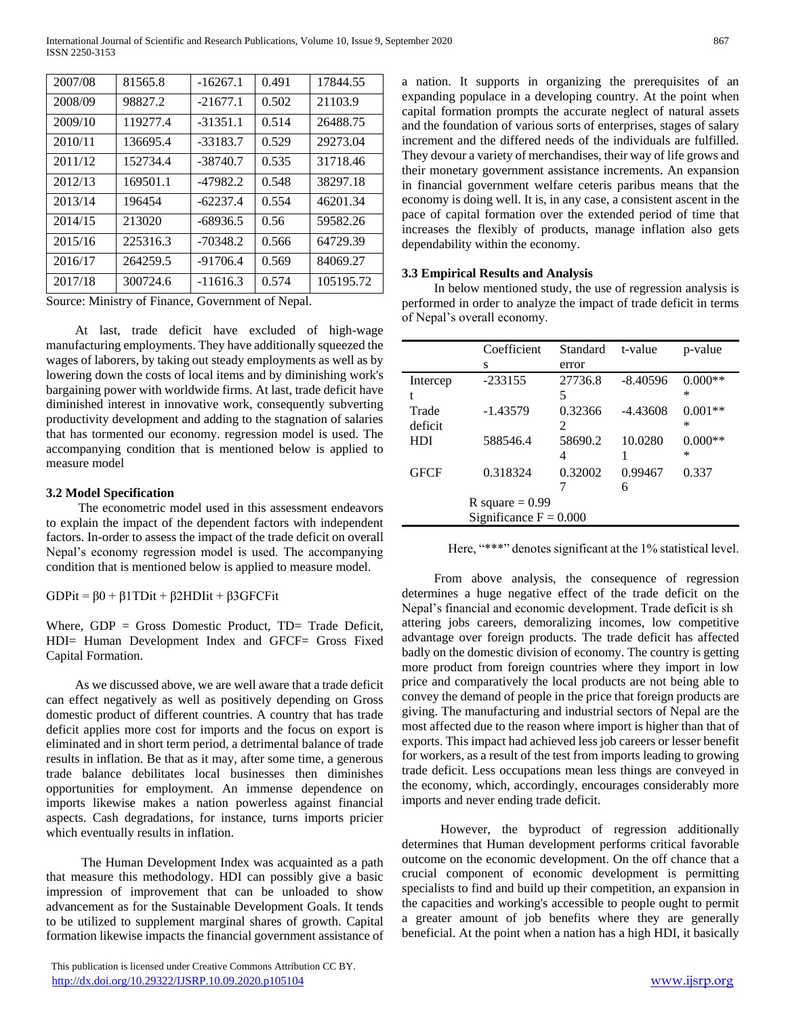| 2007/08 | 81565.8  | $-16267.1$ | 0.491 | 17844.55  |
|---------|----------|------------|-------|-----------|
| 2008/09 | 98827.2  | $-21677.1$ | 0.502 | 21103.9   |
| 2009/10 | 119277.4 | $-31351.1$ | 0.514 | 26488.75  |
| 2010/11 | 136695.4 | $-33183.7$ | 0.529 | 29273.04  |
| 2011/12 | 152734.4 | $-38740.7$ | 0.535 | 31718.46  |
| 2012/13 | 169501.1 | -47982.2   | 0.548 | 38297.18  |
| 2013/14 | 196454   | $-62237.4$ | 0.554 | 46201.34  |
| 2014/15 | 213020   | $-68936.5$ | 0.56  | 59582.26  |
| 2015/16 | 225316.3 | $-70348.2$ | 0.566 | 64729.39  |
| 2016/17 | 264259.5 | $-91706.4$ | 0.569 | 84069.27  |
| 2017/18 | 300724.6 | $-11616.3$ | 0.574 | 105195.72 |

Source: Ministry of Finance, Government of Nepal.

 At last, trade deficit have excluded of high-wage manufacturing employments. They have additionally squeezed the wages of laborers, by taking out steady employments as well as by lowering down the costs of local items and by diminishing work's bargaining power with worldwide firms. At last, trade deficit have diminished interest in innovative work, consequently subverting productivity development and adding to the stagnation of salaries that has tormented our economy. regression model is used. The accompanying condition that is mentioned below is applied to measure model

# **3.2 Model Specification**

 The econometric model used in this assessment endeavors to explain the impact of the dependent factors with independent factors. In-order to assess the impact of the trade deficit on overall Nepal's economy regression model is used. The accompanying condition that is mentioned below is applied to measure model.

GDPit =  $\beta$ 0 +  $\beta$ 1TDit +  $\beta$ 2HDIit +  $\beta$ 3GFCFit

Where,  $GDP = Gross$  Domestic Product,  $TD = Trade$  Deficit, HDI= Human Development Index and GFCF= Gross Fixed Capital Formation.

 As we discussed above, we are well aware that a trade deficit can effect negatively as well as positively depending on Gross domestic product of different countries. A country that has trade deficit applies more cost for imports and the focus on export is eliminated and in short term period, a detrimental balance of trade results in inflation. Be that as it may, after some time, a generous trade balance debilitates local businesses then diminishes opportunities for employment. An immense dependence on imports likewise makes a nation powerless against financial aspects. Cash degradations, for instance, turns imports pricier which eventually results in inflation.

 The Human Development Index was acquainted as a path that measure this methodology. HDI can possibly give a basic impression of improvement that can be unloaded to show advancement as for the Sustainable Development Goals. It tends to be utilized to supplement marginal shares of growth. Capital formation likewise impacts the financial government assistance of

 This publication is licensed under Creative Commons Attribution CC BY. <http://dx.doi.org/10.29322/IJSRP.10.09.2020.p105104> [www.ijsrp.org](http://ijsrp.org/)

a nation. It supports in organizing the prerequisites of an expanding populace in a developing country. At the point when capital formation prompts the accurate neglect of natural assets and the foundation of various sorts of enterprises, stages of salary increment and the differed needs of the individuals are fulfilled. They devour a variety of merchandises, their way of life grows and their monetary government assistance increments. An expansion in financial government welfare ceteris paribus means that the economy is doing well. It is, in any case, a consistent ascent in the pace of capital formation over the extended period of time that increases the flexibly of products, manage inflation also gets dependability within the economy.

# **3.3 Empirical Results and Analysis**

 In below mentioned study, the use of regression analysis is performed in order to analyze the impact of trade deficit in terms of Nepal's overall economy.

|                          | Coefficient | Standard | t-value    | p-value   |
|--------------------------|-------------|----------|------------|-----------|
|                          | S           | error    |            |           |
| Intercep                 | $-233155$   | 27736.8  | $-8.40596$ | $0.000**$ |
| t                        |             | 5        |            | ∗         |
| Trade                    | $-1.43579$  | 0.32366  | $-4.43608$ | $0.001**$ |
| deficit                  |             | 2        |            | ∗         |
| HDI                      | 588546.4    | 58690.2  | 10.0280    | $0.000**$ |
|                          |             | 4        |            | $\ast$    |
| <b>GFCF</b>              | 0.318324    | 0.32002  | 0.99467    | 0.337     |
|                          |             |          | 6          |           |
| R square $= 0.99$        |             |          |            |           |
| Significance $F = 0.000$ |             |          |            |           |

Here, "\*\*\*" denotes significant at the 1% statistical level.

 From above analysis, the consequence of regression determines a huge negative effect of the trade deficit on the Nepal's financial and economic development. Trade deficit is sh attering jobs careers, demoralizing incomes, low competitive advantage over foreign products. The trade deficit has affected badly on the domestic division of economy. The country is getting more product from foreign countries where they import in low price and comparatively the local products are not being able to convey the demand of people in the price that foreign products are giving. The manufacturing and industrial sectors of Nepal are the most affected due to the reason where import is higher than that of exports. This impact had achieved less job careers or lesser benefit for workers, as a result of the test from imports leading to growing trade deficit. Less occupations mean less things are conveyed in the economy, which, accordingly, encourages considerably more imports and never ending trade deficit.

 However, the byproduct of regression additionally determines that Human development performs critical favorable outcome on the economic development. On the off chance that a crucial component of economic development is permitting specialists to find and build up their competition, an expansion in the capacities and working's accessible to people ought to permit a greater amount of job benefits where they are generally beneficial. At the point when a nation has a high HDI, it basically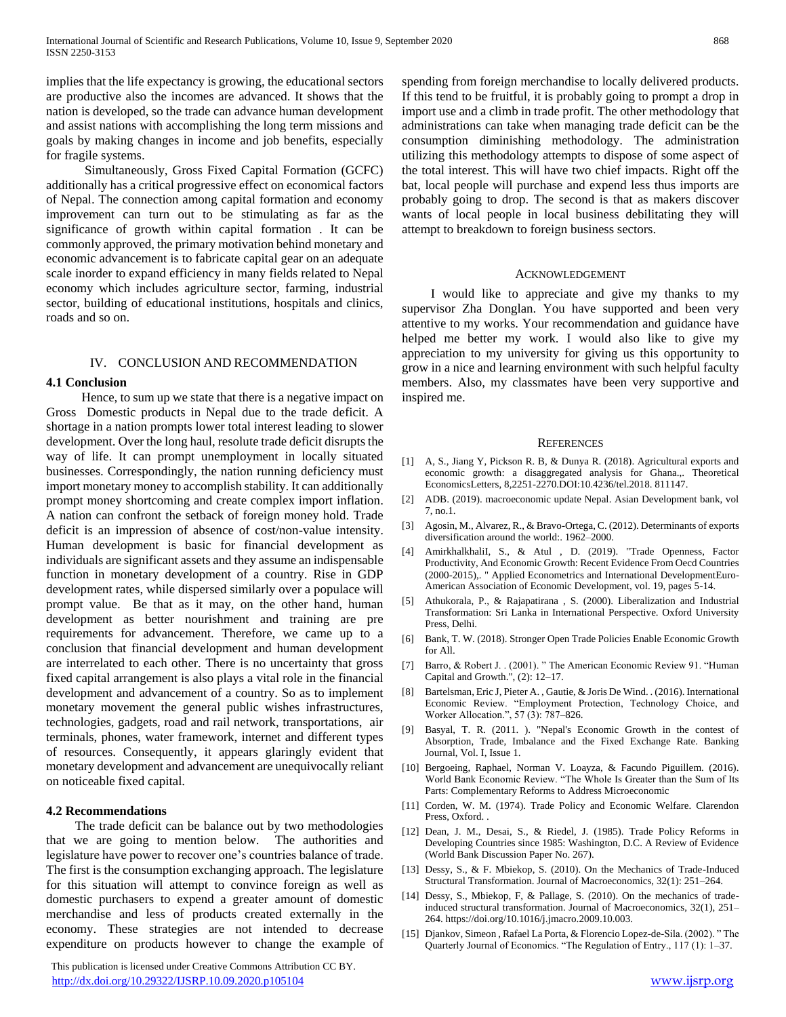implies that the life expectancy is growing, the educational sectors are productive also the incomes are advanced. It shows that the nation is developed, so the trade can advance human development and assist nations with accomplishing the long term missions and goals by making changes in income and job benefits, especially for fragile systems.

 Simultaneously, Gross Fixed Capital Formation (GCFC) additionally has a critical progressive effect on economical factors of Nepal. The connection among capital formation and economy improvement can turn out to be stimulating as far as the significance of growth within capital formation . It can be commonly approved, the primary motivation behind monetary and economic advancement is to fabricate capital gear on an adequate scale inorder to expand efficiency in many fields related to Nepal economy which includes agriculture sector, farming, industrial sector, building of educational institutions, hospitals and clinics, roads and so on.

#### IV. CONCLUSION AND RECOMMENDATION

# **4.1 Conclusion**

 Hence, to sum up we state that there is a negative impact on Gross Domestic products in Nepal due to the trade deficit. A shortage in a nation prompts lower total interest leading to slower development. Over the long haul, resolute trade deficit disrupts the way of life. It can prompt unemployment in locally situated businesses. Correspondingly, the nation running deficiency must import monetary money to accomplish stability. It can additionally prompt money shortcoming and create complex import inflation. A nation can confront the setback of foreign money hold. Trade deficit is an impression of absence of cost/non-value intensity. Human development is basic for financial development as individuals are significant assets and they assume an indispensable function in monetary development of a country. Rise in GDP development rates, while dispersed similarly over a populace will prompt value. Be that as it may, on the other hand, human development as better nourishment and training are pre requirements for advancement. Therefore, we came up to a conclusion that financial development and human development are interrelated to each other. There is no uncertainty that gross fixed capital arrangement is also plays a vital role in the financial development and advancement of a country. So as to implement monetary movement the general public wishes infrastructures, technologies, gadgets, road and rail network, transportations, air terminals, phones, water framework, internet and different types of resources. Consequently, it appears glaringly evident that monetary development and advancement are unequivocally reliant on noticeable fixed capital.

### **4.2 Recommendations**

 The trade deficit can be balance out by two methodologies that we are going to mention below. The authorities and legislature have power to recover one's countries balance of trade. The first is the consumption exchanging approach. The legislature for this situation will attempt to convince foreign as well as domestic purchasers to expend a greater amount of domestic merchandise and less of products created externally in the economy. These strategies are not intended to decrease expenditure on products however to change the example of

 This publication is licensed under Creative Commons Attribution CC BY. <http://dx.doi.org/10.29322/IJSRP.10.09.2020.p105104> [www.ijsrp.org](http://ijsrp.org/)

spending from foreign merchandise to locally delivered products. If this tend to be fruitful, it is probably going to prompt a drop in import use and a climb in trade profit. The other methodology that administrations can take when managing trade deficit can be the consumption diminishing methodology. The administration utilizing this methodology attempts to dispose of some aspect of the total interest. This will have two chief impacts. Right off the bat, local people will purchase and expend less thus imports are probably going to drop. The second is that as makers discover wants of local people in local business debilitating they will attempt to breakdown to foreign business sectors.

#### ACKNOWLEDGEMENT

 I would like to appreciate and give my thanks to my supervisor Zha Donglan. You have supported and been very attentive to my works. Your recommendation and guidance have helped me better my work. I would also like to give my appreciation to my university for giving us this opportunity to grow in a nice and learning environment with such helpful faculty members. Also, my classmates have been very supportive and inspired me.

#### **REFERENCES**

- [1] A, S., Jiang Y, Pickson R. B, & Dunya R. (2018). Agricultural exports and economic growth: a disaggregated analysis for Ghana.,. Theoretical EconomicsLetters, 8,2251-2270.DOI:10.4236/tel.2018. 811147.
- [2] ADB. (2019). macroeconomic update Nepal. Asian Development bank, vol 7, no.1.
- [3] Agosin, M., Alvarez, R., & Bravo-Ortega, C. (2012). Determinants of exports diversification around the world:. 1962–2000.
- [4] AmirkhalkhaliI, S., & Atul , D. (2019). "Trade Openness, Factor Productivity, And Economic Growth: Recent Evidence From Oecd Countries (2000-2015),. " Applied Econometrics and International DevelopmentEuro-American Association of Economic Development, vol. 19, pages 5-14.
- [5] Athukorala, P., & Rajapatirana , S. (2000). Liberalization and Industrial Transformation: Sri Lanka in International Perspective. Oxford University Press, Delhi.
- [6] Bank, T. W. (2018). Stronger Open Trade Policies Enable Economic Growth for All.
- [7] Barro, & Robert J. . (2001). " The American Economic Review 91. "Human Capital and Growth.", (2): 12–17.
- [8] Bartelsman, Eric J, Pieter A. , Gautie, & Joris De Wind. . (2016). International Economic Review. "Employment Protection, Technology Choice, and Worker Allocation.", 57 (3): 787–826.
- [9] Basyal, T. R. (2011. ). "Nepal's Economic Growth in the contest of Absorption, Trade, Imbalance and the Fixed Exchange Rate. Banking Journal, Vol. I, Issue 1.
- [10] Bergoeing, Raphael, Norman V. Loayza, & Facundo Piguillem. (2016). World Bank Economic Review. "The Whole Is Greater than the Sum of Its Parts: Complementary Reforms to Address Microeconomic
- [11] Corden, W. M. (1974). Trade Policy and Economic Welfare. Clarendon Press, Oxford.
- [12] Dean, J. M., Desai, S., & Riedel, J. (1985). Trade Policy Reforms in Developing Countries since 1985: Washington, D.C. A Review of Evidence (World Bank Discussion Paper No. 267).
- [13] Dessy, S., & F. Mbiekop, S. (2010). On the Mechanics of Trade-Induced Structural Transformation. Journal of Macroeconomics, 32(1): 251–264.
- [14] Dessy, S., Mbiekop, F, & Pallage, S. (2010). On the mechanics of tradeinduced structural transformation. Journal of Macroeconomics, 32(1), 251– 264. https://doi.org/10.1016/j.jmacro.2009.10.003.
- [15] Djankov, Simeon , Rafael La Porta, & Florencio Lopez-de-Sila. (2002). " The Quarterly Journal of Economics. "The Regulation of Entry., 117 (1): 1–37.